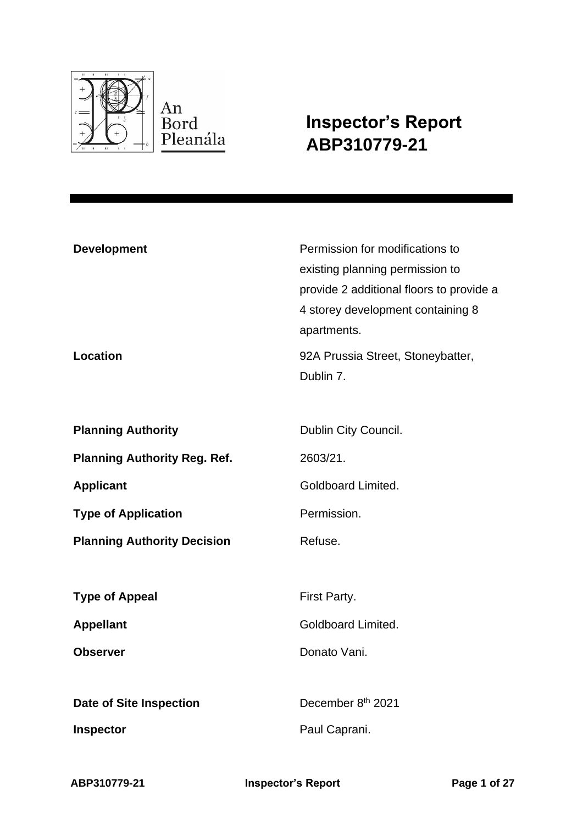

**Inspector's Report ABP310779-21**

| <b>Development</b><br>Location      | Permission for modifications to<br>existing planning permission to<br>provide 2 additional floors to provide a<br>4 storey development containing 8<br>apartments.<br>92A Prussia Street, Stoneybatter,<br>Dublin 7. |
|-------------------------------------|----------------------------------------------------------------------------------------------------------------------------------------------------------------------------------------------------------------------|
| <b>Planning Authority</b>           | Dublin City Council.                                                                                                                                                                                                 |
|                                     |                                                                                                                                                                                                                      |
| <b>Planning Authority Reg. Ref.</b> | 2603/21.                                                                                                                                                                                                             |
| <b>Applicant</b>                    | Goldboard Limited.                                                                                                                                                                                                   |
| <b>Type of Application</b>          | Permission.                                                                                                                                                                                                          |
| <b>Planning Authority Decision</b>  | Refuse.                                                                                                                                                                                                              |
|                                     |                                                                                                                                                                                                                      |
| <b>Type of Appeal</b>               | First Party.                                                                                                                                                                                                         |
| <b>Appellant</b>                    | Goldboard Limited.                                                                                                                                                                                                   |
| <b>Observer</b>                     | Donato Vani.                                                                                                                                                                                                         |
|                                     |                                                                                                                                                                                                                      |
| <b>Date of Site Inspection</b>      | December 8th 2021                                                                                                                                                                                                    |
| Inspector                           | Paul Caprani.                                                                                                                                                                                                        |
|                                     |                                                                                                                                                                                                                      |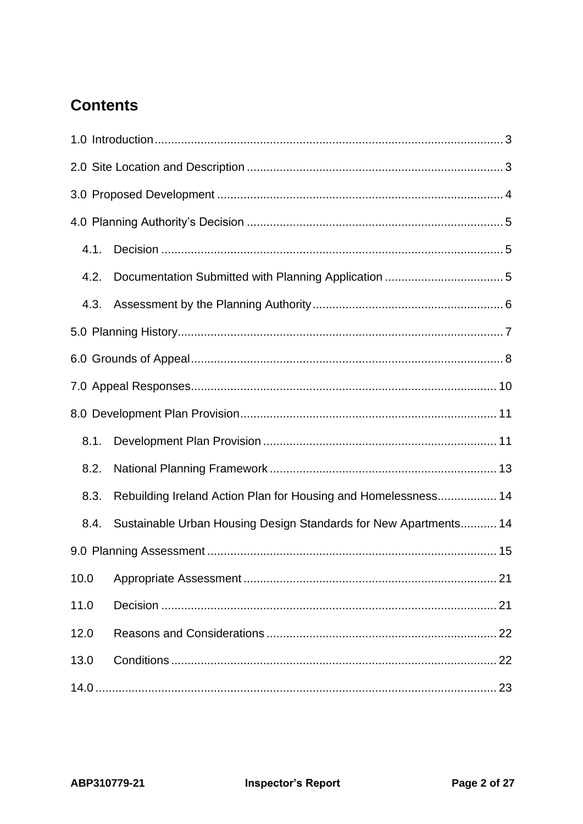# **Contents**

| 4.1. |                                                                  |
|------|------------------------------------------------------------------|
| 4.2. |                                                                  |
| 4.3. |                                                                  |
|      |                                                                  |
|      |                                                                  |
|      |                                                                  |
|      |                                                                  |
| 8.1. |                                                                  |
| 8.2. |                                                                  |
| 8.3. | Rebuilding Ireland Action Plan for Housing and Homelessness 14   |
| 8.4. | Sustainable Urban Housing Design Standards for New Apartments 14 |
|      |                                                                  |
| 10.0 |                                                                  |
| 11.0 |                                                                  |
| 12.0 |                                                                  |
| 13.0 |                                                                  |
|      |                                                                  |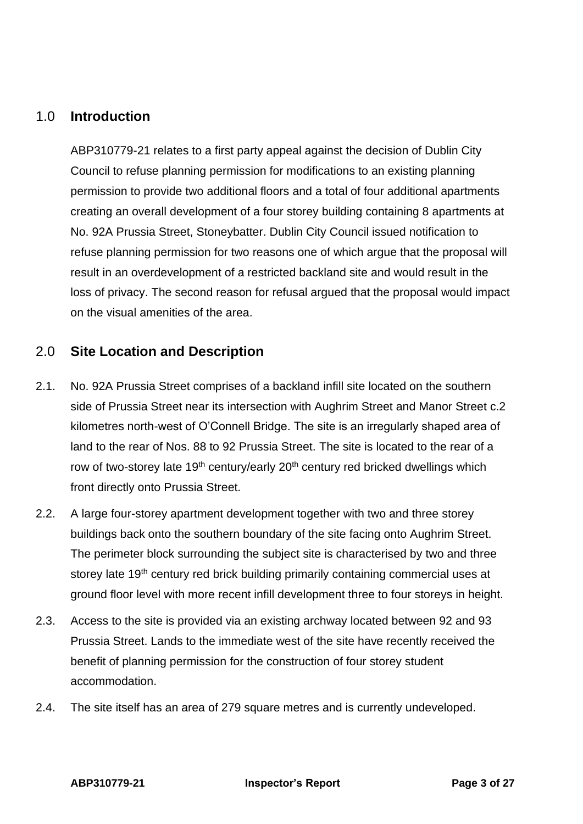# <span id="page-2-0"></span>1.0 **Introduction**

ABP310779-21 relates to a first party appeal against the decision of Dublin City Council to refuse planning permission for modifications to an existing planning permission to provide two additional floors and a total of four additional apartments creating an overall development of a four storey building containing 8 apartments at No. 92A Prussia Street, Stoneybatter. Dublin City Council issued notification to refuse planning permission for two reasons one of which argue that the proposal will result in an overdevelopment of a restricted backland site and would result in the loss of privacy. The second reason for refusal argued that the proposal would impact on the visual amenities of the area.

# <span id="page-2-1"></span>2.0 **Site Location and Description**

- 2.1. No. 92A Prussia Street comprises of a backland infill site located on the southern side of Prussia Street near its intersection with Aughrim Street and Manor Street c.2 kilometres north-west of O'Connell Bridge. The site is an irregularly shaped area of land to the rear of Nos. 88 to 92 Prussia Street. The site is located to the rear of a row of two-storey late 19<sup>th</sup> century/early 20<sup>th</sup> century red bricked dwellings which front directly onto Prussia Street.
- 2.2. A large four-storey apartment development together with two and three storey buildings back onto the southern boundary of the site facing onto Aughrim Street. The perimeter block surrounding the subject site is characterised by two and three storey late 19<sup>th</sup> century red brick building primarily containing commercial uses at ground floor level with more recent infill development three to four storeys in height.
- 2.3. Access to the site is provided via an existing archway located between 92 and 93 Prussia Street. Lands to the immediate west of the site have recently received the benefit of planning permission for the construction of four storey student accommodation.
- 2.4. The site itself has an area of 279 square metres and is currently undeveloped.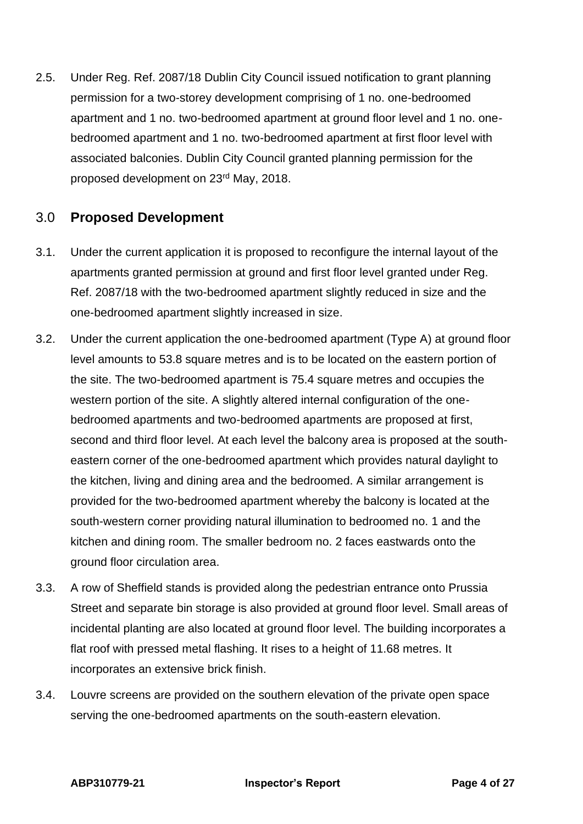2.5. Under Reg. Ref. 2087/18 Dublin City Council issued notification to grant planning permission for a two-storey development comprising of 1 no. one-bedroomed apartment and 1 no. two-bedroomed apartment at ground floor level and 1 no. onebedroomed apartment and 1 no. two-bedroomed apartment at first floor level with associated balconies. Dublin City Council granted planning permission for the proposed development on 23rd May, 2018.

# <span id="page-3-0"></span>3.0 **Proposed Development**

- 3.1. Under the current application it is proposed to reconfigure the internal layout of the apartments granted permission at ground and first floor level granted under Reg. Ref. 2087/18 with the two-bedroomed apartment slightly reduced in size and the one-bedroomed apartment slightly increased in size.
- 3.2. Under the current application the one-bedroomed apartment (Type A) at ground floor level amounts to 53.8 square metres and is to be located on the eastern portion of the site. The two-bedroomed apartment is 75.4 square metres and occupies the western portion of the site. A slightly altered internal configuration of the onebedroomed apartments and two-bedroomed apartments are proposed at first, second and third floor level. At each level the balcony area is proposed at the southeastern corner of the one-bedroomed apartment which provides natural daylight to the kitchen, living and dining area and the bedroomed. A similar arrangement is provided for the two-bedroomed apartment whereby the balcony is located at the south-western corner providing natural illumination to bedroomed no. 1 and the kitchen and dining room. The smaller bedroom no. 2 faces eastwards onto the ground floor circulation area.
- 3.3. A row of Sheffield stands is provided along the pedestrian entrance onto Prussia Street and separate bin storage is also provided at ground floor level. Small areas of incidental planting are also located at ground floor level. The building incorporates a flat roof with pressed metal flashing. It rises to a height of 11.68 metres. It incorporates an extensive brick finish.
- 3.4. Louvre screens are provided on the southern elevation of the private open space serving the one-bedroomed apartments on the south-eastern elevation.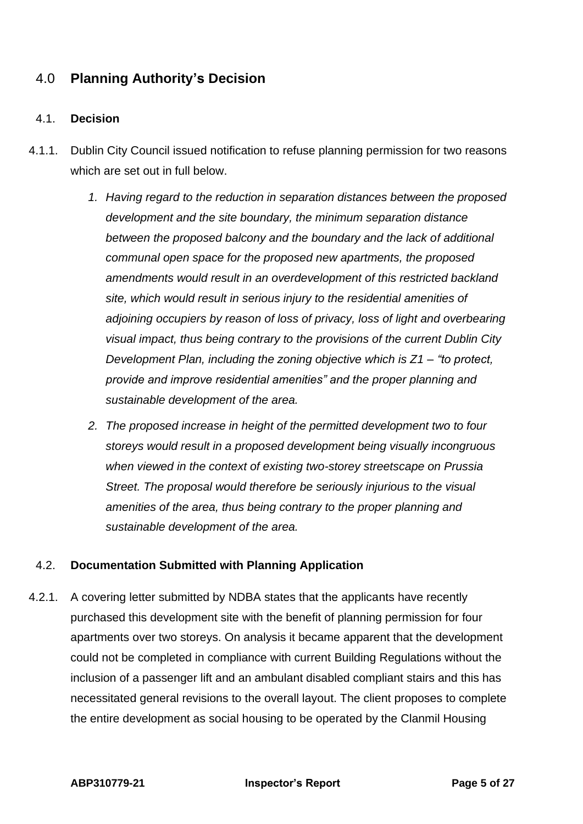# <span id="page-4-0"></span>4.0 **Planning Authority's Decision**

#### <span id="page-4-1"></span>4.1. **Decision**

- 4.1.1. Dublin City Council issued notification to refuse planning permission for two reasons which are set out in full below.
	- *1. Having regard to the reduction in separation distances between the proposed development and the site boundary, the minimum separation distance between the proposed balcony and the boundary and the lack of additional communal open space for the proposed new apartments, the proposed amendments would result in an overdevelopment of this restricted backland site, which would result in serious injury to the residential amenities of adjoining occupiers by reason of loss of privacy, loss of light and overbearing visual impact, thus being contrary to the provisions of the current Dublin City Development Plan, including the zoning objective which is Z1 – "to protect, provide and improve residential amenities" and the proper planning and sustainable development of the area.*
	- *2. The proposed increase in height of the permitted development two to four storeys would result in a proposed development being visually incongruous when viewed in the context of existing two-storey streetscape on Prussia Street. The proposal would therefore be seriously injurious to the visual amenities of the area, thus being contrary to the proper planning and sustainable development of the area.*

#### <span id="page-4-2"></span>4.2. **Documentation Submitted with Planning Application**

4.2.1. A covering letter submitted by NDBA states that the applicants have recently purchased this development site with the benefit of planning permission for four apartments over two storeys. On analysis it became apparent that the development could not be completed in compliance with current Building Regulations without the inclusion of a passenger lift and an ambulant disabled compliant stairs and this has necessitated general revisions to the overall layout. The client proposes to complete the entire development as social housing to be operated by the Clanmil Housing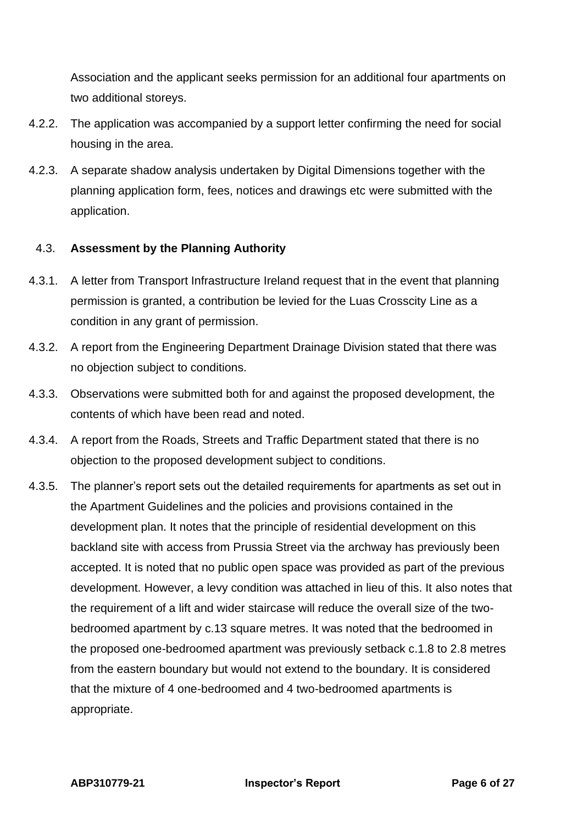Association and the applicant seeks permission for an additional four apartments on two additional storeys.

- 4.2.2. The application was accompanied by a support letter confirming the need for social housing in the area.
- 4.2.3. A separate shadow analysis undertaken by Digital Dimensions together with the planning application form, fees, notices and drawings etc were submitted with the application.

#### <span id="page-5-0"></span>4.3. **Assessment by the Planning Authority**

- 4.3.1. A letter from Transport Infrastructure Ireland request that in the event that planning permission is granted, a contribution be levied for the Luas Crosscity Line as a condition in any grant of permission.
- 4.3.2. A report from the Engineering Department Drainage Division stated that there was no objection subject to conditions.
- 4.3.3. Observations were submitted both for and against the proposed development, the contents of which have been read and noted.
- 4.3.4. A report from the Roads, Streets and Traffic Department stated that there is no objection to the proposed development subject to conditions.
- 4.3.5. The planner's report sets out the detailed requirements for apartments as set out in the Apartment Guidelines and the policies and provisions contained in the development plan. It notes that the principle of residential development on this backland site with access from Prussia Street via the archway has previously been accepted. It is noted that no public open space was provided as part of the previous development. However, a levy condition was attached in lieu of this. It also notes that the requirement of a lift and wider staircase will reduce the overall size of the twobedroomed apartment by c.13 square metres. It was noted that the bedroomed in the proposed one-bedroomed apartment was previously setback c.1.8 to 2.8 metres from the eastern boundary but would not extend to the boundary. It is considered that the mixture of 4 one-bedroomed and 4 two-bedroomed apartments is appropriate.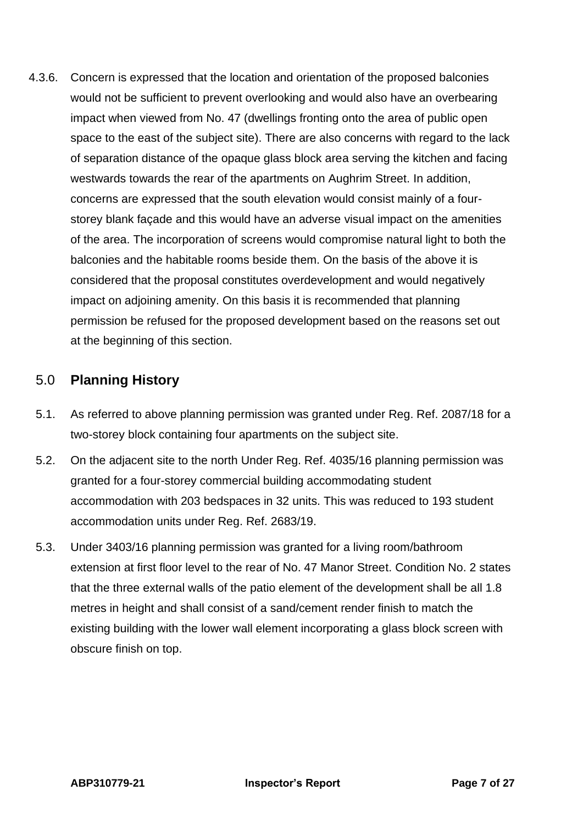4.3.6. Concern is expressed that the location and orientation of the proposed balconies would not be sufficient to prevent overlooking and would also have an overbearing impact when viewed from No. 47 (dwellings fronting onto the area of public open space to the east of the subject site). There are also concerns with regard to the lack of separation distance of the opaque glass block area serving the kitchen and facing westwards towards the rear of the apartments on Aughrim Street. In addition, concerns are expressed that the south elevation would consist mainly of a fourstorey blank façade and this would have an adverse visual impact on the amenities of the area. The incorporation of screens would compromise natural light to both the balconies and the habitable rooms beside them. On the basis of the above it is considered that the proposal constitutes overdevelopment and would negatively impact on adjoining amenity. On this basis it is recommended that planning permission be refused for the proposed development based on the reasons set out at the beginning of this section.

## <span id="page-6-0"></span>5.0 **Planning History**

- 5.1. As referred to above planning permission was granted under Reg. Ref. 2087/18 for a two-storey block containing four apartments on the subject site.
- 5.2. On the adjacent site to the north Under Reg. Ref. 4035/16 planning permission was granted for a four-storey commercial building accommodating student accommodation with 203 bedspaces in 32 units. This was reduced to 193 student accommodation units under Reg. Ref. 2683/19.
- 5.3. Under 3403/16 planning permission was granted for a living room/bathroom extension at first floor level to the rear of No. 47 Manor Street. Condition No. 2 states that the three external walls of the patio element of the development shall be all 1.8 metres in height and shall consist of a sand/cement render finish to match the existing building with the lower wall element incorporating a glass block screen with obscure finish on top.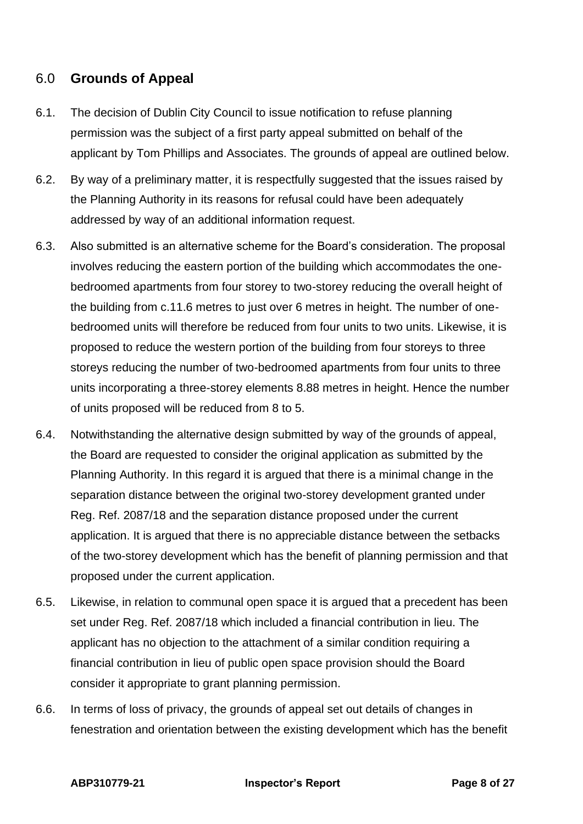# <span id="page-7-0"></span>6.0 **Grounds of Appeal**

- 6.1. The decision of Dublin City Council to issue notification to refuse planning permission was the subject of a first party appeal submitted on behalf of the applicant by Tom Phillips and Associates. The grounds of appeal are outlined below.
- 6.2. By way of a preliminary matter, it is respectfully suggested that the issues raised by the Planning Authority in its reasons for refusal could have been adequately addressed by way of an additional information request.
- 6.3. Also submitted is an alternative scheme for the Board's consideration. The proposal involves reducing the eastern portion of the building which accommodates the onebedroomed apartments from four storey to two-storey reducing the overall height of the building from c.11.6 metres to just over 6 metres in height. The number of onebedroomed units will therefore be reduced from four units to two units. Likewise, it is proposed to reduce the western portion of the building from four storeys to three storeys reducing the number of two-bedroomed apartments from four units to three units incorporating a three-storey elements 8.88 metres in height. Hence the number of units proposed will be reduced from 8 to 5.
- 6.4. Notwithstanding the alternative design submitted by way of the grounds of appeal, the Board are requested to consider the original application as submitted by the Planning Authority. In this regard it is argued that there is a minimal change in the separation distance between the original two-storey development granted under Reg. Ref. 2087/18 and the separation distance proposed under the current application. It is argued that there is no appreciable distance between the setbacks of the two-storey development which has the benefit of planning permission and that proposed under the current application.
- 6.5. Likewise, in relation to communal open space it is argued that a precedent has been set under Reg. Ref. 2087/18 which included a financial contribution in lieu. The applicant has no objection to the attachment of a similar condition requiring a financial contribution in lieu of public open space provision should the Board consider it appropriate to grant planning permission.
- 6.6. In terms of loss of privacy, the grounds of appeal set out details of changes in fenestration and orientation between the existing development which has the benefit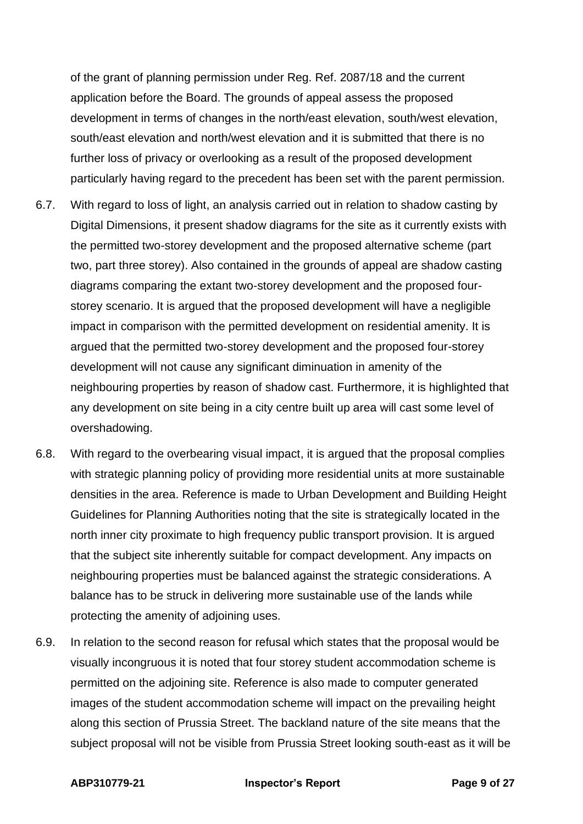of the grant of planning permission under Reg. Ref. 2087/18 and the current application before the Board. The grounds of appeal assess the proposed development in terms of changes in the north/east elevation, south/west elevation, south/east elevation and north/west elevation and it is submitted that there is no further loss of privacy or overlooking as a result of the proposed development particularly having regard to the precedent has been set with the parent permission.

- 6.7. With regard to loss of light, an analysis carried out in relation to shadow casting by Digital Dimensions, it present shadow diagrams for the site as it currently exists with the permitted two-storey development and the proposed alternative scheme (part two, part three storey). Also contained in the grounds of appeal are shadow casting diagrams comparing the extant two-storey development and the proposed fourstorey scenario. It is argued that the proposed development will have a negligible impact in comparison with the permitted development on residential amenity. It is argued that the permitted two-storey development and the proposed four-storey development will not cause any significant diminuation in amenity of the neighbouring properties by reason of shadow cast. Furthermore, it is highlighted that any development on site being in a city centre built up area will cast some level of overshadowing.
- 6.8. With regard to the overbearing visual impact, it is argued that the proposal complies with strategic planning policy of providing more residential units at more sustainable densities in the area. Reference is made to Urban Development and Building Height Guidelines for Planning Authorities noting that the site is strategically located in the north inner city proximate to high frequency public transport provision. It is argued that the subject site inherently suitable for compact development. Any impacts on neighbouring properties must be balanced against the strategic considerations. A balance has to be struck in delivering more sustainable use of the lands while protecting the amenity of adjoining uses.
- 6.9. In relation to the second reason for refusal which states that the proposal would be visually incongruous it is noted that four storey student accommodation scheme is permitted on the adjoining site. Reference is also made to computer generated images of the student accommodation scheme will impact on the prevailing height along this section of Prussia Street. The backland nature of the site means that the subject proposal will not be visible from Prussia Street looking south-east as it will be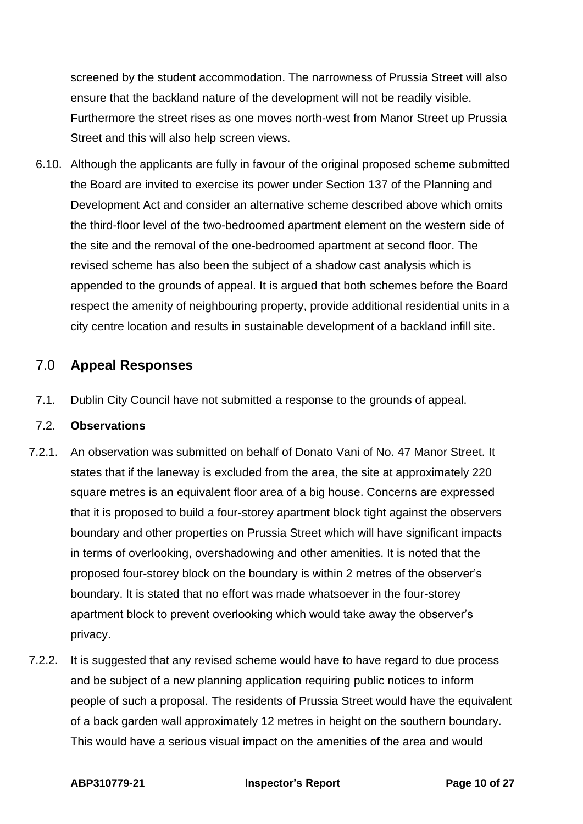screened by the student accommodation. The narrowness of Prussia Street will also ensure that the backland nature of the development will not be readily visible. Furthermore the street rises as one moves north-west from Manor Street up Prussia Street and this will also help screen views.

6.10. Although the applicants are fully in favour of the original proposed scheme submitted the Board are invited to exercise its power under Section 137 of the Planning and Development Act and consider an alternative scheme described above which omits the third-floor level of the two-bedroomed apartment element on the western side of the site and the removal of the one-bedroomed apartment at second floor. The revised scheme has also been the subject of a shadow cast analysis which is appended to the grounds of appeal. It is argued that both schemes before the Board respect the amenity of neighbouring property, provide additional residential units in a city centre location and results in sustainable development of a backland infill site.

# <span id="page-9-0"></span>7.0 **Appeal Responses**

7.1. Dublin City Council have not submitted a response to the grounds of appeal.

#### 7.2. **Observations**

- 7.2.1. An observation was submitted on behalf of Donato Vani of No. 47 Manor Street. It states that if the laneway is excluded from the area, the site at approximately 220 square metres is an equivalent floor area of a big house. Concerns are expressed that it is proposed to build a four-storey apartment block tight against the observers boundary and other properties on Prussia Street which will have significant impacts in terms of overlooking, overshadowing and other amenities. It is noted that the proposed four-storey block on the boundary is within 2 metres of the observer's boundary. It is stated that no effort was made whatsoever in the four-storey apartment block to prevent overlooking which would take away the observer's privacy.
- 7.2.2. It is suggested that any revised scheme would have to have regard to due process and be subject of a new planning application requiring public notices to inform people of such a proposal. The residents of Prussia Street would have the equivalent of a back garden wall approximately 12 metres in height on the southern boundary. This would have a serious visual impact on the amenities of the area and would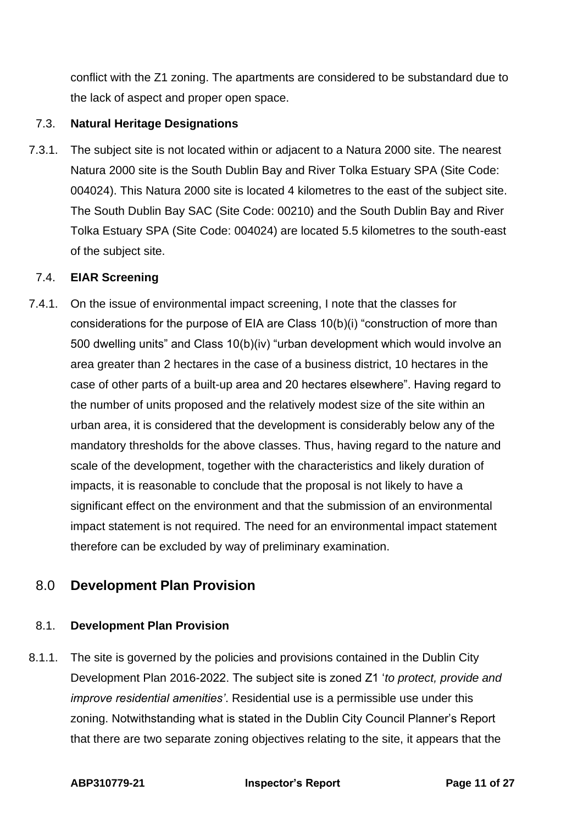conflict with the Z1 zoning. The apartments are considered to be substandard due to the lack of aspect and proper open space.

#### 7.3. **Natural Heritage Designations**

7.3.1. The subject site is not located within or adjacent to a Natura 2000 site. The nearest Natura 2000 site is the South Dublin Bay and River Tolka Estuary SPA (Site Code: 004024). This Natura 2000 site is located 4 kilometres to the east of the subject site. The South Dublin Bay SAC (Site Code: 00210) and the South Dublin Bay and River Tolka Estuary SPA (Site Code: 004024) are located 5.5 kilometres to the south-east of the subject site.

#### 7.4. **EIAR Screening**

7.4.1. On the issue of environmental impact screening, I note that the classes for considerations for the purpose of EIA are Class 10(b)(i) "construction of more than 500 dwelling units" and Class 10(b)(iv) "urban development which would involve an area greater than 2 hectares in the case of a business district, 10 hectares in the case of other parts of a built-up area and 20 hectares elsewhere". Having regard to the number of units proposed and the relatively modest size of the site within an urban area, it is considered that the development is considerably below any of the mandatory thresholds for the above classes. Thus, having regard to the nature and scale of the development, together with the characteristics and likely duration of impacts, it is reasonable to conclude that the proposal is not likely to have a significant effect on the environment and that the submission of an environmental impact statement is not required. The need for an environmental impact statement therefore can be excluded by way of preliminary examination.

# <span id="page-10-0"></span>8.0 **Development Plan Provision**

#### <span id="page-10-1"></span>8.1. **Development Plan Provision**

8.1.1. The site is governed by the policies and provisions contained in the Dublin City Development Plan 2016-2022. The subject site is zoned Z1 '*to protect, provide and improve residential amenities'*. Residential use is a permissible use under this zoning. Notwithstanding what is stated in the Dublin City Council Planner's Report that there are two separate zoning objectives relating to the site, it appears that the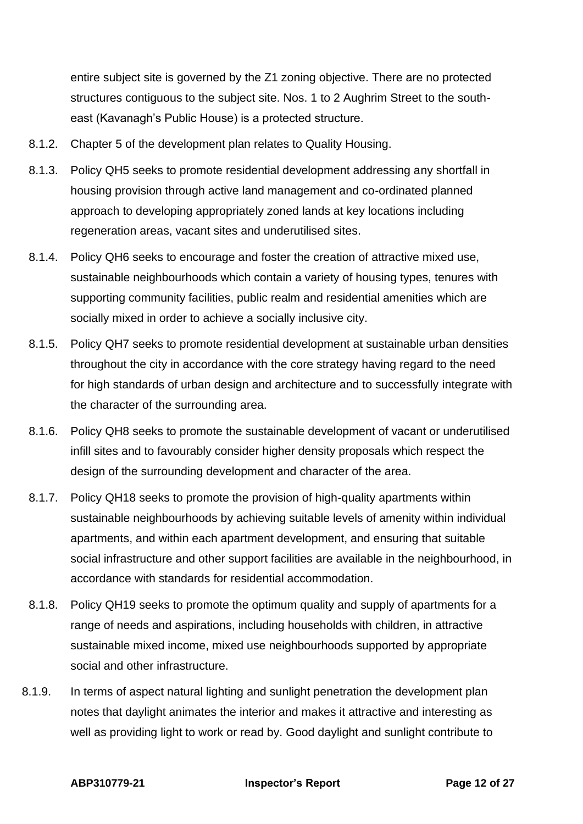entire subject site is governed by the Z1 zoning objective. There are no protected structures contiguous to the subject site. Nos. 1 to 2 Aughrim Street to the southeast (Kavanagh's Public House) is a protected structure.

- 8.1.2. Chapter 5 of the development plan relates to Quality Housing.
- 8.1.3. Policy QH5 seeks to promote residential development addressing any shortfall in housing provision through active land management and co-ordinated planned approach to developing appropriately zoned lands at key locations including regeneration areas, vacant sites and underutilised sites.
- 8.1.4. Policy QH6 seeks to encourage and foster the creation of attractive mixed use, sustainable neighbourhoods which contain a variety of housing types, tenures with supporting community facilities, public realm and residential amenities which are socially mixed in order to achieve a socially inclusive city.
- 8.1.5. Policy QH7 seeks to promote residential development at sustainable urban densities throughout the city in accordance with the core strategy having regard to the need for high standards of urban design and architecture and to successfully integrate with the character of the surrounding area.
- 8.1.6. Policy QH8 seeks to promote the sustainable development of vacant or underutilised infill sites and to favourably consider higher density proposals which respect the design of the surrounding development and character of the area.
- 8.1.7. Policy QH18 seeks to promote the provision of high-quality apartments within sustainable neighbourhoods by achieving suitable levels of amenity within individual apartments, and within each apartment development, and ensuring that suitable social infrastructure and other support facilities are available in the neighbourhood, in accordance with standards for residential accommodation.
- 8.1.8. Policy QH19 seeks to promote the optimum quality and supply of apartments for a range of needs and aspirations, including households with children, in attractive sustainable mixed income, mixed use neighbourhoods supported by appropriate social and other infrastructure.
- 8.1.9. In terms of aspect natural lighting and sunlight penetration the development plan notes that daylight animates the interior and makes it attractive and interesting as well as providing light to work or read by. Good daylight and sunlight contribute to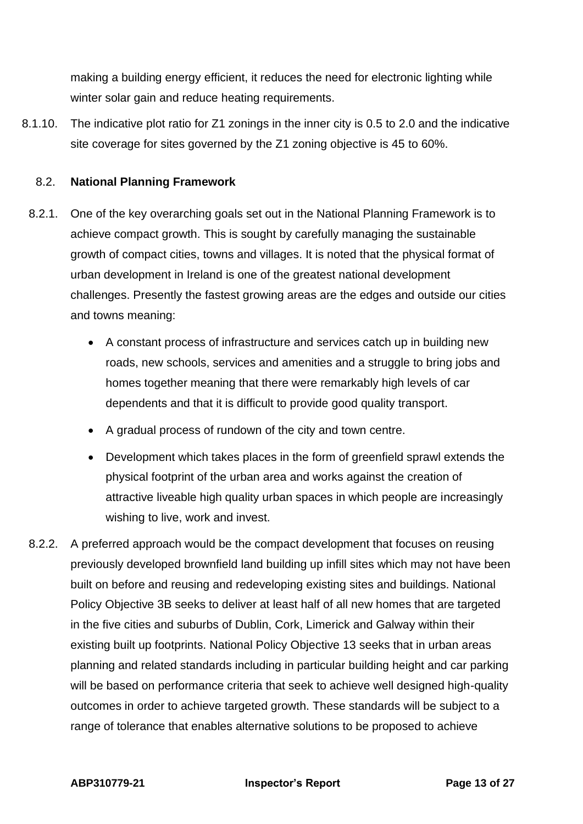making a building energy efficient, it reduces the need for electronic lighting while winter solar gain and reduce heating requirements.

8.1.10. The indicative plot ratio for Z1 zonings in the inner city is 0.5 to 2.0 and the indicative site coverage for sites governed by the Z1 zoning objective is 45 to 60%.

#### <span id="page-12-0"></span>8.2. **National Planning Framework**

- 8.2.1. One of the key overarching goals set out in the National Planning Framework is to achieve compact growth. This is sought by carefully managing the sustainable growth of compact cities, towns and villages. It is noted that the physical format of urban development in Ireland is one of the greatest national development challenges. Presently the fastest growing areas are the edges and outside our cities and towns meaning:
	- A constant process of infrastructure and services catch up in building new roads, new schools, services and amenities and a struggle to bring jobs and homes together meaning that there were remarkably high levels of car dependents and that it is difficult to provide good quality transport.
	- A gradual process of rundown of the city and town centre.
	- Development which takes places in the form of greenfield sprawl extends the physical footprint of the urban area and works against the creation of attractive liveable high quality urban spaces in which people are increasingly wishing to live, work and invest.
- 8.2.2. A preferred approach would be the compact development that focuses on reusing previously developed brownfield land building up infill sites which may not have been built on before and reusing and redeveloping existing sites and buildings. National Policy Objective 3B seeks to deliver at least half of all new homes that are targeted in the five cities and suburbs of Dublin, Cork, Limerick and Galway within their existing built up footprints. National Policy Objective 13 seeks that in urban areas planning and related standards including in particular building height and car parking will be based on performance criteria that seek to achieve well designed high-quality outcomes in order to achieve targeted growth. These standards will be subject to a range of tolerance that enables alternative solutions to be proposed to achieve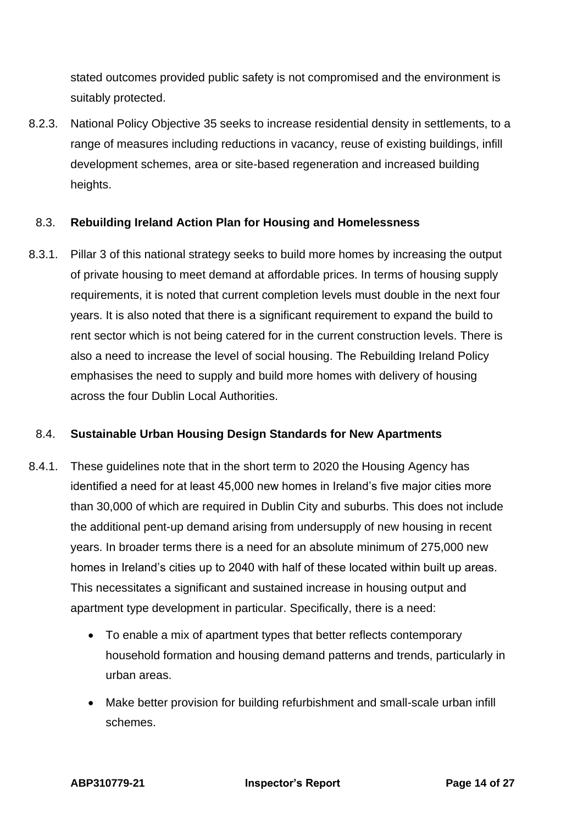stated outcomes provided public safety is not compromised and the environment is suitably protected.

8.2.3. National Policy Objective 35 seeks to increase residential density in settlements, to a range of measures including reductions in vacancy, reuse of existing buildings, infill development schemes, area or site-based regeneration and increased building heights.

#### <span id="page-13-0"></span>8.3. **Rebuilding Ireland Action Plan for Housing and Homelessness**

8.3.1. Pillar 3 of this national strategy seeks to build more homes by increasing the output of private housing to meet demand at affordable prices. In terms of housing supply requirements, it is noted that current completion levels must double in the next four years. It is also noted that there is a significant requirement to expand the build to rent sector which is not being catered for in the current construction levels. There is also a need to increase the level of social housing. The Rebuilding Ireland Policy emphasises the need to supply and build more homes with delivery of housing across the four Dublin Local Authorities.

#### <span id="page-13-1"></span>8.4. **Sustainable Urban Housing Design Standards for New Apartments**

- 8.4.1. These guidelines note that in the short term to 2020 the Housing Agency has identified a need for at least 45,000 new homes in Ireland's five major cities more than 30,000 of which are required in Dublin City and suburbs. This does not include the additional pent-up demand arising from undersupply of new housing in recent years. In broader terms there is a need for an absolute minimum of 275,000 new homes in Ireland's cities up to 2040 with half of these located within built up areas. This necessitates a significant and sustained increase in housing output and apartment type development in particular. Specifically, there is a need:
	- To enable a mix of apartment types that better reflects contemporary household formation and housing demand patterns and trends, particularly in urban areas.
	- Make better provision for building refurbishment and small-scale urban infill schemes.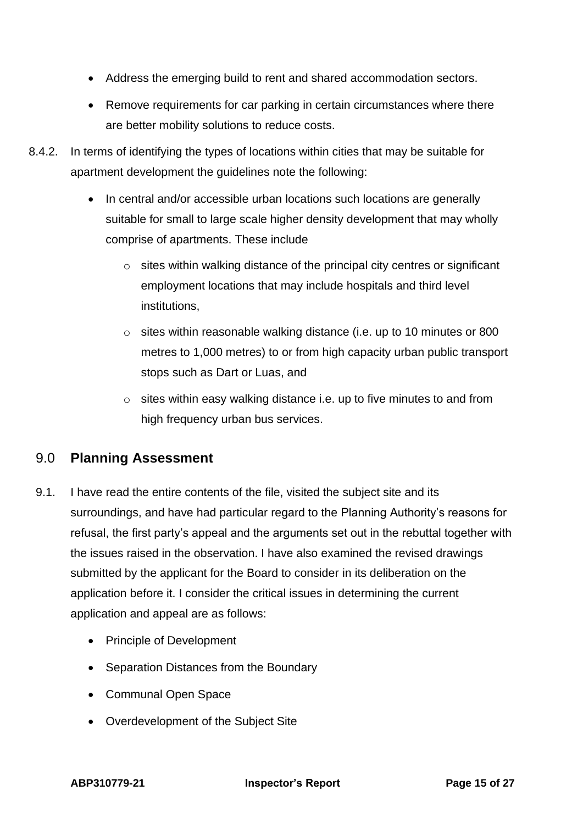- Address the emerging build to rent and shared accommodation sectors.
- Remove requirements for car parking in certain circumstances where there are better mobility solutions to reduce costs.
- 8.4.2. In terms of identifying the types of locations within cities that may be suitable for apartment development the guidelines note the following:
	- In central and/or accessible urban locations such locations are generally suitable for small to large scale higher density development that may wholly comprise of apartments. These include
		- $\circ$  sites within walking distance of the principal city centres or significant employment locations that may include hospitals and third level institutions,
		- o sites within reasonable walking distance (i.e. up to 10 minutes or 800 metres to 1,000 metres) to or from high capacity urban public transport stops such as Dart or Luas, and
		- o sites within easy walking distance i.e. up to five minutes to and from high frequency urban bus services.

# <span id="page-14-0"></span>9.0 **Planning Assessment**

- 9.1. I have read the entire contents of the file, visited the subject site and its surroundings, and have had particular regard to the Planning Authority's reasons for refusal, the first party's appeal and the arguments set out in the rebuttal together with the issues raised in the observation. I have also examined the revised drawings submitted by the applicant for the Board to consider in its deliberation on the application before it. I consider the critical issues in determining the current application and appeal are as follows:
	- Principle of Development
	- Separation Distances from the Boundary
	- Communal Open Space
	- Overdevelopment of the Subject Site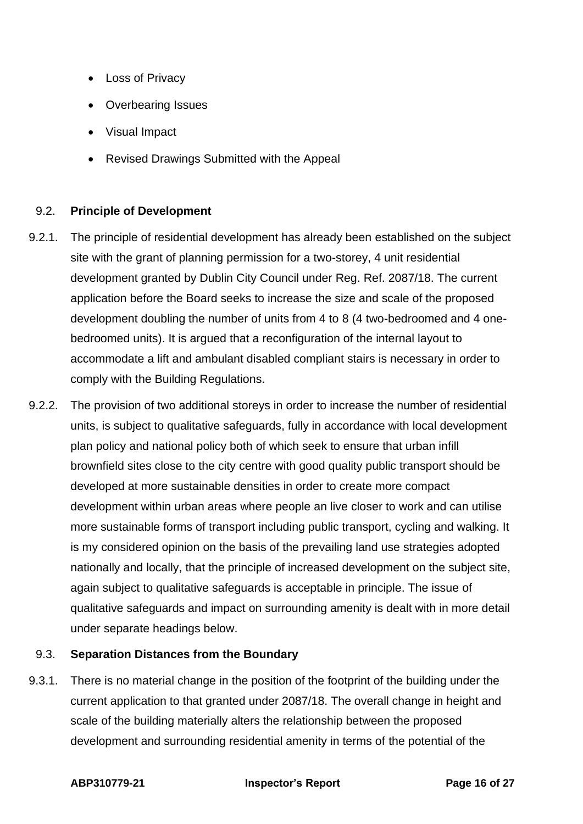- Loss of Privacy
- Overbearing Issues
- Visual Impact
- Revised Drawings Submitted with the Appeal

#### 9.2. **Principle of Development**

- 9.2.1. The principle of residential development has already been established on the subject site with the grant of planning permission for a two-storey, 4 unit residential development granted by Dublin City Council under Reg. Ref. 2087/18. The current application before the Board seeks to increase the size and scale of the proposed development doubling the number of units from 4 to 8 (4 two-bedroomed and 4 onebedroomed units). It is argued that a reconfiguration of the internal layout to accommodate a lift and ambulant disabled compliant stairs is necessary in order to comply with the Building Regulations.
- 9.2.2. The provision of two additional storeys in order to increase the number of residential units, is subject to qualitative safeguards, fully in accordance with local development plan policy and national policy both of which seek to ensure that urban infill brownfield sites close to the city centre with good quality public transport should be developed at more sustainable densities in order to create more compact development within urban areas where people an live closer to work and can utilise more sustainable forms of transport including public transport, cycling and walking. It is my considered opinion on the basis of the prevailing land use strategies adopted nationally and locally, that the principle of increased development on the subject site, again subject to qualitative safeguards is acceptable in principle. The issue of qualitative safeguards and impact on surrounding amenity is dealt with in more detail under separate headings below.

#### 9.3. **Separation Distances from the Boundary**

9.3.1. There is no material change in the position of the footprint of the building under the current application to that granted under 2087/18. The overall change in height and scale of the building materially alters the relationship between the proposed development and surrounding residential amenity in terms of the potential of the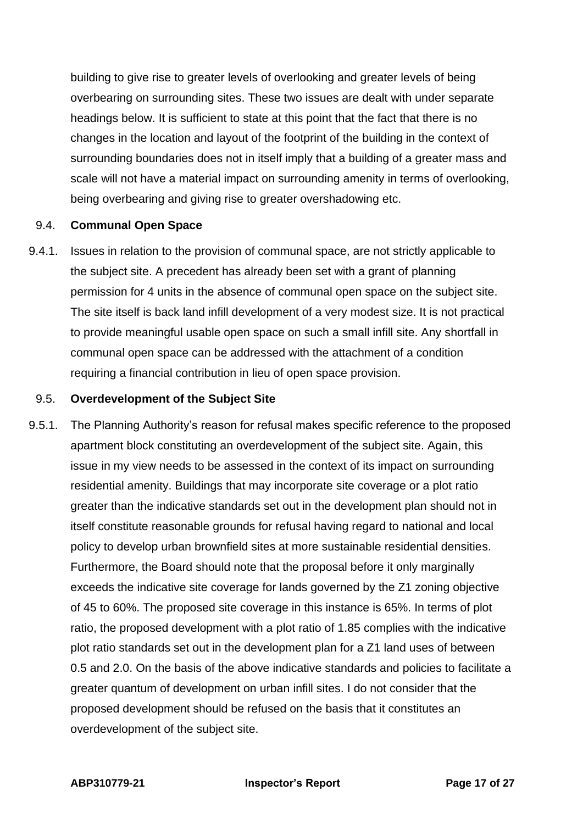building to give rise to greater levels of overlooking and greater levels of being overbearing on surrounding sites. These two issues are dealt with under separate headings below. It is sufficient to state at this point that the fact that there is no changes in the location and layout of the footprint of the building in the context of surrounding boundaries does not in itself imply that a building of a greater mass and scale will not have a material impact on surrounding amenity in terms of overlooking, being overbearing and giving rise to greater overshadowing etc.

#### 9.4. **Communal Open Space**

9.4.1. Issues in relation to the provision of communal space, are not strictly applicable to the subject site. A precedent has already been set with a grant of planning permission for 4 units in the absence of communal open space on the subject site. The site itself is back land infill development of a very modest size. It is not practical to provide meaningful usable open space on such a small infill site. Any shortfall in communal open space can be addressed with the attachment of a condition requiring a financial contribution in lieu of open space provision.

#### 9.5. **Overdevelopment of the Subject Site**

9.5.1. The Planning Authority's reason for refusal makes specific reference to the proposed apartment block constituting an overdevelopment of the subject site. Again, this issue in my view needs to be assessed in the context of its impact on surrounding residential amenity. Buildings that may incorporate site coverage or a plot ratio greater than the indicative standards set out in the development plan should not in itself constitute reasonable grounds for refusal having regard to national and local policy to develop urban brownfield sites at more sustainable residential densities. Furthermore, the Board should note that the proposal before it only marginally exceeds the indicative site coverage for lands governed by the Z1 zoning objective of 45 to 60%. The proposed site coverage in this instance is 65%. In terms of plot ratio, the proposed development with a plot ratio of 1.85 complies with the indicative plot ratio standards set out in the development plan for a Z1 land uses of between 0.5 and 2.0. On the basis of the above indicative standards and policies to facilitate a greater quantum of development on urban infill sites. I do not consider that the proposed development should be refused on the basis that it constitutes an overdevelopment of the subject site.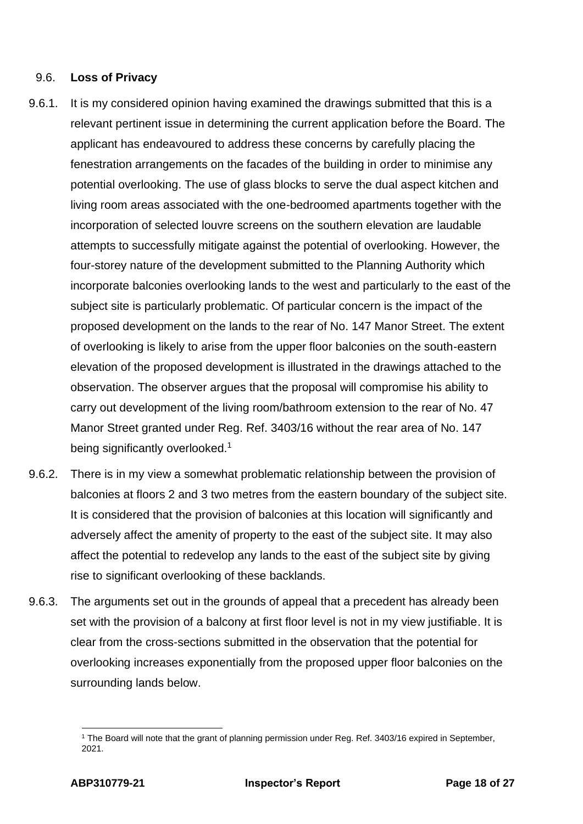#### 9.6. **Loss of Privacy**

- 9.6.1. It is my considered opinion having examined the drawings submitted that this is a relevant pertinent issue in determining the current application before the Board. The applicant has endeavoured to address these concerns by carefully placing the fenestration arrangements on the facades of the building in order to minimise any potential overlooking. The use of glass blocks to serve the dual aspect kitchen and living room areas associated with the one-bedroomed apartments together with the incorporation of selected louvre screens on the southern elevation are laudable attempts to successfully mitigate against the potential of overlooking. However, the four-storey nature of the development submitted to the Planning Authority which incorporate balconies overlooking lands to the west and particularly to the east of the subject site is particularly problematic. Of particular concern is the impact of the proposed development on the lands to the rear of No. 147 Manor Street. The extent of overlooking is likely to arise from the upper floor balconies on the south-eastern elevation of the proposed development is illustrated in the drawings attached to the observation. The observer argues that the proposal will compromise his ability to carry out development of the living room/bathroom extension to the rear of No. 47 Manor Street granted under Reg. Ref. 3403/16 without the rear area of No. 147 being significantly overlooked.<sup>1</sup>
- 9.6.2. There is in my view a somewhat problematic relationship between the provision of balconies at floors 2 and 3 two metres from the eastern boundary of the subject site. It is considered that the provision of balconies at this location will significantly and adversely affect the amenity of property to the east of the subject site. It may also affect the potential to redevelop any lands to the east of the subject site by giving rise to significant overlooking of these backlands.
- 9.6.3. The arguments set out in the grounds of appeal that a precedent has already been set with the provision of a balcony at first floor level is not in my view justifiable. It is clear from the cross-sections submitted in the observation that the potential for overlooking increases exponentially from the proposed upper floor balconies on the surrounding lands below.

<sup>1</sup> The Board will note that the grant of planning permission under Reg. Ref. 3403/16 expired in September, 2021.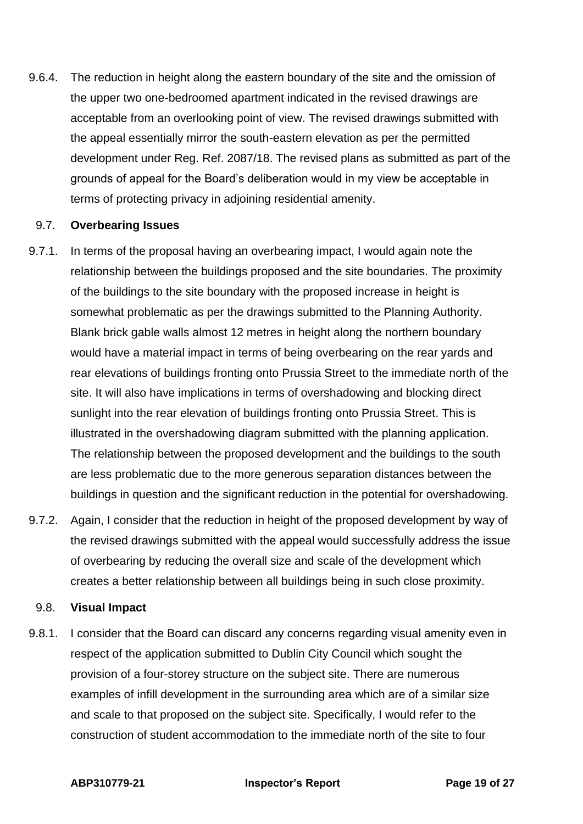9.6.4. The reduction in height along the eastern boundary of the site and the omission of the upper two one-bedroomed apartment indicated in the revised drawings are acceptable from an overlooking point of view. The revised drawings submitted with the appeal essentially mirror the south-eastern elevation as per the permitted development under Reg. Ref. 2087/18. The revised plans as submitted as part of the grounds of appeal for the Board's deliberation would in my view be acceptable in terms of protecting privacy in adjoining residential amenity.

#### 9.7. **Overbearing Issues**

- 9.7.1. In terms of the proposal having an overbearing impact, I would again note the relationship between the buildings proposed and the site boundaries. The proximity of the buildings to the site boundary with the proposed increase in height is somewhat problematic as per the drawings submitted to the Planning Authority. Blank brick gable walls almost 12 metres in height along the northern boundary would have a material impact in terms of being overbearing on the rear yards and rear elevations of buildings fronting onto Prussia Street to the immediate north of the site. It will also have implications in terms of overshadowing and blocking direct sunlight into the rear elevation of buildings fronting onto Prussia Street. This is illustrated in the overshadowing diagram submitted with the planning application. The relationship between the proposed development and the buildings to the south are less problematic due to the more generous separation distances between the buildings in question and the significant reduction in the potential for overshadowing.
- 9.7.2. Again, I consider that the reduction in height of the proposed development by way of the revised drawings submitted with the appeal would successfully address the issue of overbearing by reducing the overall size and scale of the development which creates a better relationship between all buildings being in such close proximity.

#### 9.8. **Visual Impact**

9.8.1. I consider that the Board can discard any concerns regarding visual amenity even in respect of the application submitted to Dublin City Council which sought the provision of a four-storey structure on the subject site. There are numerous examples of infill development in the surrounding area which are of a similar size and scale to that proposed on the subject site. Specifically, I would refer to the construction of student accommodation to the immediate north of the site to four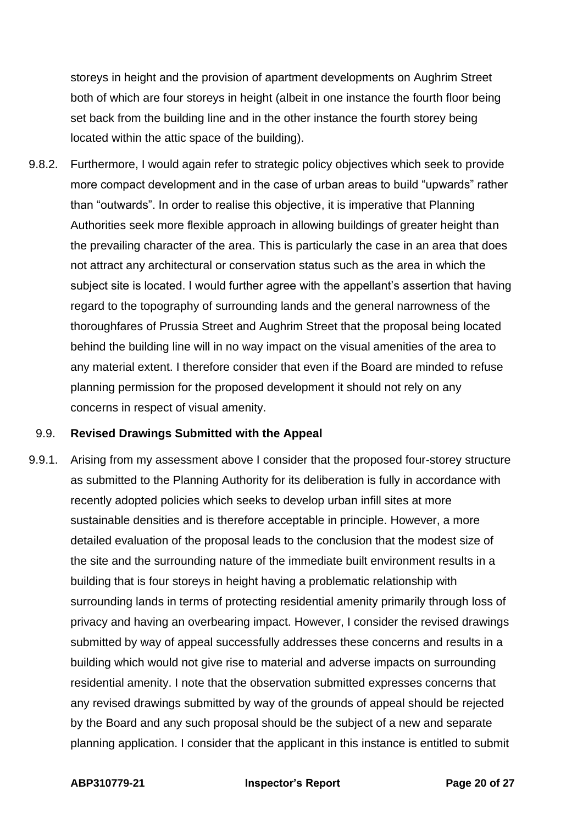storeys in height and the provision of apartment developments on Aughrim Street both of which are four storeys in height (albeit in one instance the fourth floor being set back from the building line and in the other instance the fourth storey being located within the attic space of the building).

9.8.2. Furthermore, I would again refer to strategic policy objectives which seek to provide more compact development and in the case of urban areas to build "upwards" rather than "outwards". In order to realise this objective, it is imperative that Planning Authorities seek more flexible approach in allowing buildings of greater height than the prevailing character of the area. This is particularly the case in an area that does not attract any architectural or conservation status such as the area in which the subject site is located. I would further agree with the appellant's assertion that having regard to the topography of surrounding lands and the general narrowness of the thoroughfares of Prussia Street and Aughrim Street that the proposal being located behind the building line will in no way impact on the visual amenities of the area to any material extent. I therefore consider that even if the Board are minded to refuse planning permission for the proposed development it should not rely on any concerns in respect of visual amenity.

#### 9.9. **Revised Drawings Submitted with the Appeal**

9.9.1. Arising from my assessment above I consider that the proposed four-storey structure as submitted to the Planning Authority for its deliberation is fully in accordance with recently adopted policies which seeks to develop urban infill sites at more sustainable densities and is therefore acceptable in principle. However, a more detailed evaluation of the proposal leads to the conclusion that the modest size of the site and the surrounding nature of the immediate built environment results in a building that is four storeys in height having a problematic relationship with surrounding lands in terms of protecting residential amenity primarily through loss of privacy and having an overbearing impact. However, I consider the revised drawings submitted by way of appeal successfully addresses these concerns and results in a building which would not give rise to material and adverse impacts on surrounding residential amenity. I note that the observation submitted expresses concerns that any revised drawings submitted by way of the grounds of appeal should be rejected by the Board and any such proposal should be the subject of a new and separate planning application. I consider that the applicant in this instance is entitled to submit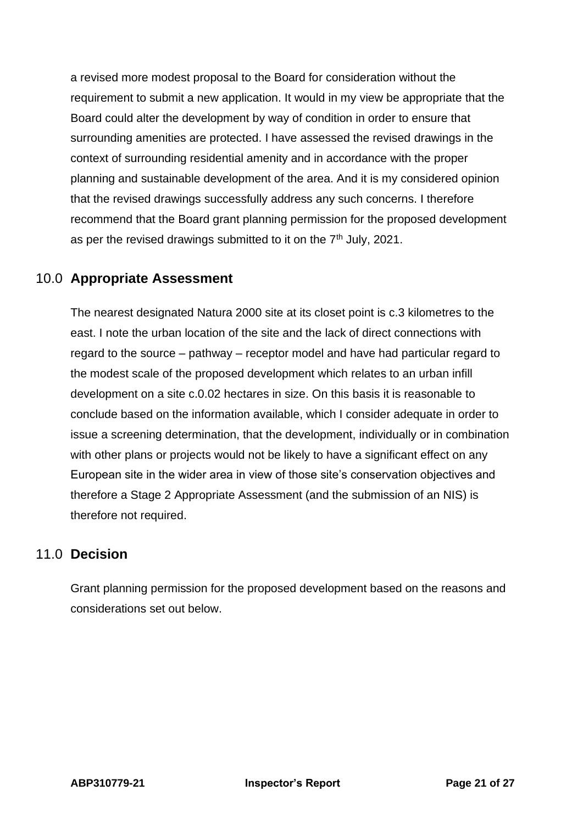a revised more modest proposal to the Board for consideration without the requirement to submit a new application. It would in my view be appropriate that the Board could alter the development by way of condition in order to ensure that surrounding amenities are protected. I have assessed the revised drawings in the context of surrounding residential amenity and in accordance with the proper planning and sustainable development of the area. And it is my considered opinion that the revised drawings successfully address any such concerns. I therefore recommend that the Board grant planning permission for the proposed development as per the revised drawings submitted to it on the  $7<sup>th</sup>$  July, 2021.

# <span id="page-20-0"></span>10.0 **Appropriate Assessment**

The nearest designated Natura 2000 site at its closet point is c.3 kilometres to the east. I note the urban location of the site and the lack of direct connections with regard to the source – pathway – receptor model and have had particular regard to the modest scale of the proposed development which relates to an urban infill development on a site c.0.02 hectares in size. On this basis it is reasonable to conclude based on the information available, which I consider adequate in order to issue a screening determination, that the development, individually or in combination with other plans or projects would not be likely to have a significant effect on any European site in the wider area in view of those site's conservation objectives and therefore a Stage 2 Appropriate Assessment (and the submission of an NIS) is therefore not required.

## <span id="page-20-1"></span>11.0 **Decision**

Grant planning permission for the proposed development based on the reasons and considerations set out below.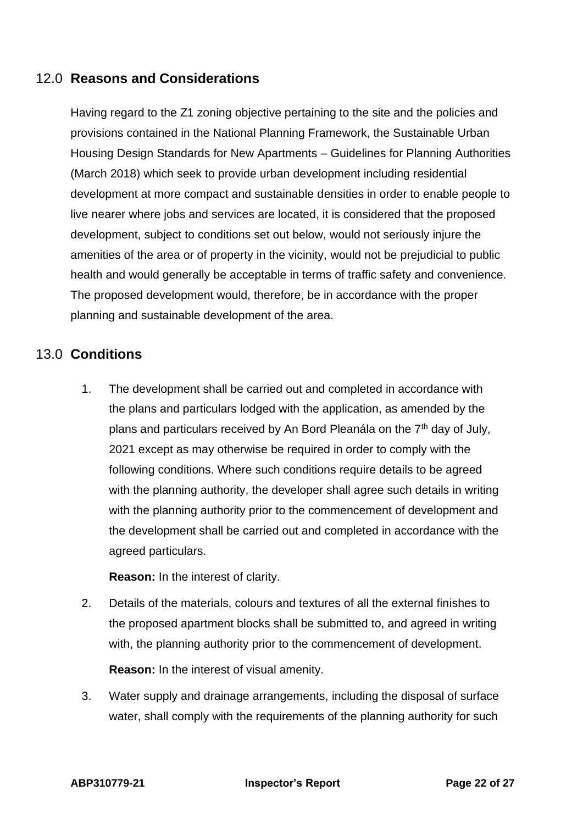# <span id="page-21-0"></span>12.0 **Reasons and Considerations**

Having regard to the Z1 zoning objective pertaining to the site and the policies and provisions contained in the National Planning Framework, the Sustainable Urban Housing Design Standards for New Apartments – Guidelines for Planning Authorities (March 2018) which seek to provide urban development including residential development at more compact and sustainable densities in order to enable people to live nearer where jobs and services are located, it is considered that the proposed development, subject to conditions set out below, would not seriously injure the amenities of the area or of property in the vicinity, would not be prejudicial to public health and would generally be acceptable in terms of traffic safety and convenience. The proposed development would, therefore, be in accordance with the proper planning and sustainable development of the area.

## <span id="page-21-1"></span>13.0 **Conditions**

1. The development shall be carried out and completed in accordance with the plans and particulars lodged with the application, as amended by the plans and particulars received by An Bord Pleanála on the 7<sup>th</sup> day of July, 2021 except as may otherwise be required in order to comply with the following conditions. Where such conditions require details to be agreed with the planning authority, the developer shall agree such details in writing with the planning authority prior to the commencement of development and the development shall be carried out and completed in accordance with the agreed particulars.

**Reason:** In the interest of clarity.

2. Details of the materials, colours and textures of all the external finishes to the proposed apartment blocks shall be submitted to, and agreed in writing with, the planning authority prior to the commencement of development.

**Reason:** In the interest of visual amenity.

13.4. Water supply and drainage arrangements, including the disposal of surface water, shall comply with the requirements of the planning authority for such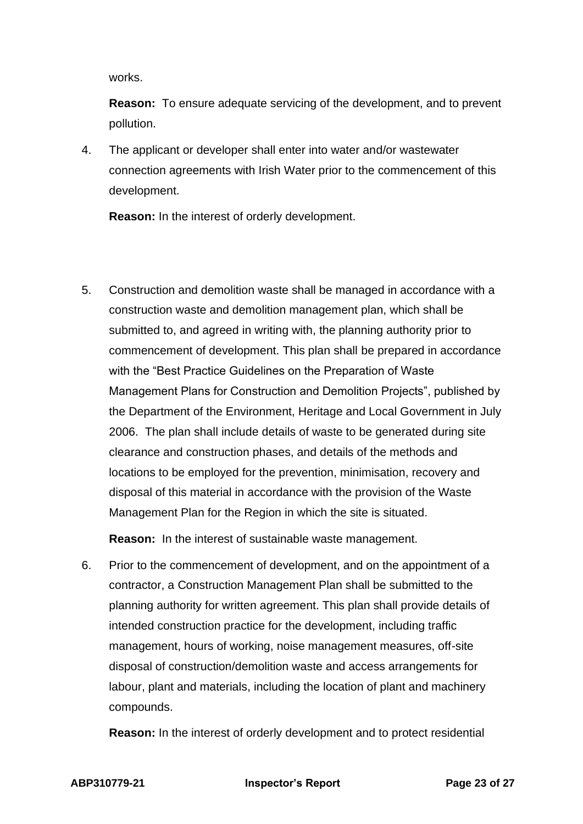works.

**Reason:** To ensure adequate servicing of the development, and to prevent pollution.

4. The applicant or developer shall enter into water and/or wastewater connection agreements with Irish Water prior to the commencement of this development.

<span id="page-22-0"></span>**Reason:** In the interest of orderly development.

5. Construction and demolition waste shall be managed in accordance with a construction waste and demolition management plan, which shall be submitted to, and agreed in writing with, the planning authority prior to commencement of development. This plan shall be prepared in accordance with the "Best Practice Guidelines on the Preparation of Waste Management Plans for Construction and Demolition Projects", published by the Department of the Environment, Heritage and Local Government in July 2006. The plan shall include details of waste to be generated during site clearance and construction phases, and details of the methods and locations to be employed for the prevention, minimisation, recovery and disposal of this material in accordance with the provision of the Waste Management Plan for the Region in which the site is situated.

**Reason:** In the interest of sustainable waste management.

6. Prior to the commencement of development, and on the appointment of a contractor, a Construction Management Plan shall be submitted to the planning authority for written agreement. This plan shall provide details of intended construction practice for the development, including traffic management, hours of working, noise management measures, off-site disposal of construction/demolition waste and access arrangements for labour, plant and materials, including the location of plant and machinery compounds.

**Reason:** In the interest of orderly development and to protect residential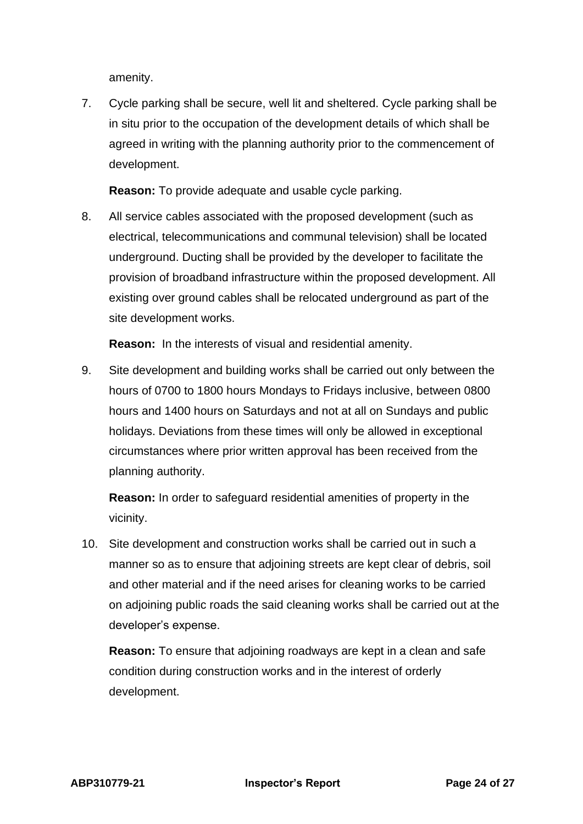amenity.

7. Cycle parking shall be secure, well lit and sheltered. Cycle parking shall be in situ prior to the occupation of the development details of which shall be agreed in writing with the planning authority prior to the commencement of development.

Reason: To provide adequate and usable cycle parking.

8. All service cables associated with the proposed development (such as electrical, telecommunications and communal television) shall be located underground. Ducting shall be provided by the developer to facilitate the provision of broadband infrastructure within the proposed development. All existing over ground cables shall be relocated underground as part of the site development works.

**Reason:** In the interests of visual and residential amenity.

9. Site development and building works shall be carried out only between the hours of 0700 to 1800 hours Mondays to Fridays inclusive, between 0800 hours and 1400 hours on Saturdays and not at all on Sundays and public holidays. Deviations from these times will only be allowed in exceptional circumstances where prior written approval has been received from the planning authority.

**Reason:** In order to safeguard residential amenities of property in the vicinity.

10. Site development and construction works shall be carried out in such a manner so as to ensure that adjoining streets are kept clear of debris, soil and other material and if the need arises for cleaning works to be carried on adjoining public roads the said cleaning works shall be carried out at the developer's expense.

**Reason:** To ensure that adjoining roadways are kept in a clean and safe condition during construction works and in the interest of orderly development.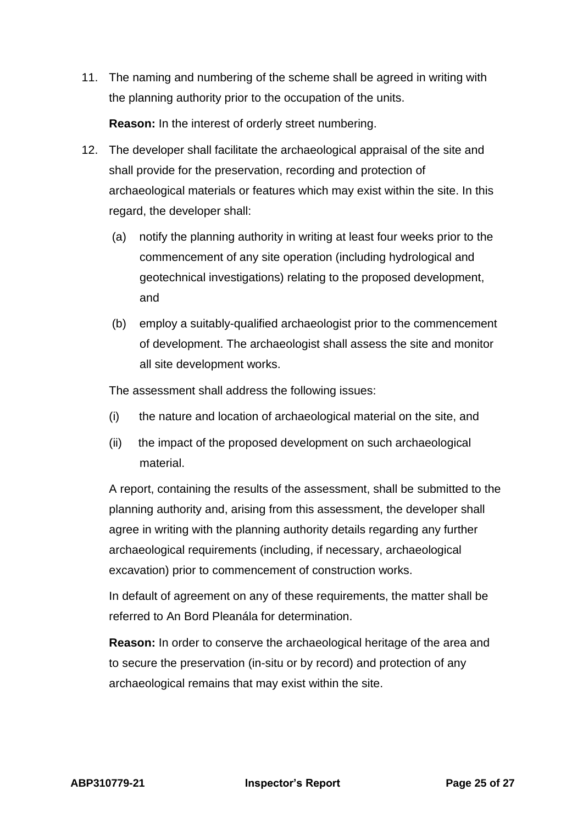11. The naming and numbering of the scheme shall be agreed in writing with the planning authority prior to the occupation of the units.

**Reason:** In the interest of orderly street numbering.

- 12. The developer shall facilitate the archaeological appraisal of the site and shall provide for the preservation, recording and protection of archaeological materials or features which may exist within the site. In this regard, the developer shall:
	- (a) notify the planning authority in writing at least four weeks prior to the commencement of any site operation (including hydrological and geotechnical investigations) relating to the proposed development, and
	- (b) employ a suitably-qualified archaeologist prior to the commencement of development. The archaeologist shall assess the site and monitor all site development works.

The assessment shall address the following issues:

- (i) the nature and location of archaeological material on the site, and
- (ii) the impact of the proposed development on such archaeological material.

A report, containing the results of the assessment, shall be submitted to the planning authority and, arising from this assessment, the developer shall agree in writing with the planning authority details regarding any further archaeological requirements (including, if necessary, archaeological excavation) prior to commencement of construction works.

In default of agreement on any of these requirements, the matter shall be referred to An Bord Pleanála for determination.

**Reason:** In order to conserve the archaeological heritage of the area and to secure the preservation (in-situ or by record) and protection of any archaeological remains that may exist within the site.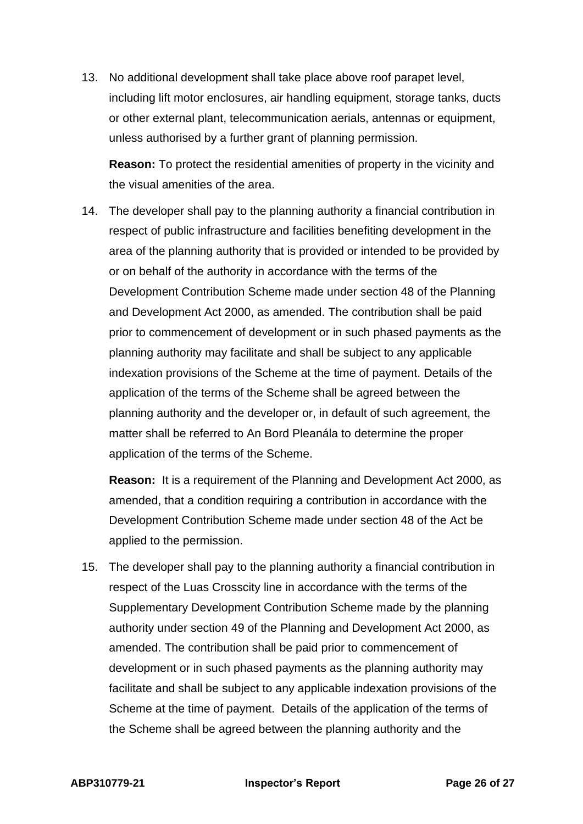13. No additional development shall take place above roof parapet level, including lift motor enclosures, air handling equipment, storage tanks, ducts or other external plant, telecommunication aerials, antennas or equipment, unless authorised by a further grant of planning permission.

**Reason:** To protect the residential amenities of property in the vicinity and the visual amenities of the area.

14. The developer shall pay to the planning authority a financial contribution in respect of public infrastructure and facilities benefiting development in the area of the planning authority that is provided or intended to be provided by or on behalf of the authority in accordance with the terms of the Development Contribution Scheme made under section 48 of the Planning and Development Act 2000, as amended. The contribution shall be paid prior to commencement of development or in such phased payments as the planning authority may facilitate and shall be subject to any applicable indexation provisions of the Scheme at the time of payment. Details of the application of the terms of the Scheme shall be agreed between the planning authority and the developer or, in default of such agreement, the matter shall be referred to An Bord Pleanála to determine the proper application of the terms of the Scheme.

**Reason:** It is a requirement of the Planning and Development Act 2000, as amended, that a condition requiring a contribution in accordance with the Development Contribution Scheme made under section 48 of the Act be applied to the permission.

15. The developer shall pay to the planning authority a financial contribution in respect of the Luas Crosscity line in accordance with the terms of the Supplementary Development Contribution Scheme made by the planning authority under section 49 of the Planning and Development Act 2000, as amended. The contribution shall be paid prior to commencement of development or in such phased payments as the planning authority may facilitate and shall be subject to any applicable indexation provisions of the Scheme at the time of payment. Details of the application of the terms of the Scheme shall be agreed between the planning authority and the